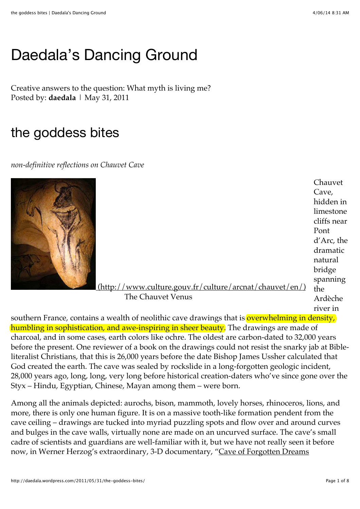# [Daedala's Dancing Ground](http://daedala.wordpress.com/)

Creative answers to the question: What myth is living me? Posted by: **daedala** | May 31, 2011

## the goddess bites

*non-definitive reflections on Chauvet Cave*



 [\(http://www.culture.gouv.fr/culture/arcnat/chauvet/en/\)](http://www.culture.gouv.fr/culture/arcnat/chauvet/en/) The Chauvet Venus Chauvet Cave, hidden in limestone cliffs near Pont d'Arc, the dramatic natural bridge spanning the Ardèche river in

southern France, contains a wealth of neolithic cave drawings that is overwhelming in density, humbling in sophistication, and awe-inspiring in sheer beauty. The drawings are made of charcoal, and in some cases, earth colors like ochre. The oldest are carbon-dated to 32,000 years before the present. One reviewer of a book on the drawings could not resist the snarky jab at Bibleliteralist Christians, that this is 26,000 years before the date Bishop James Ussher calculated that God created the earth. The cave was sealed by rockslide in a long-forgotten geologic incident, 28,000 years ago, long, long, very long before historical creation-daters who've since gone over the Styx – Hindu, Egyptian, Chinese, Mayan among them – were born.

Among all the animals depicted: aurochs, bison, mammoth, lovely horses, rhinoceros, lions, and more, there is only one human figure. It is on a massive tooth-like formation pendent from the cave ceiling – drawings are tucked into myriad puzzling spots and flow over and around curves and bulges in the cave walls, virtually none are made on an uncurved surface. The cave's small cadre of scientists and guardians are well-familiar with it, but we have not really seen it before [now, in Werner Herzog's extraordinary, 3-D documentary, "Cave of Forgotten Dreams](http://www.wernerherzog.com/index.php?id=64)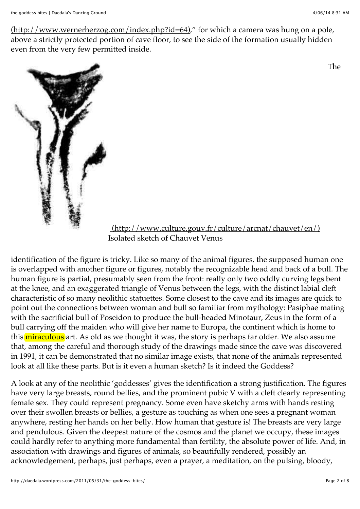$(\text{http://www.wernerherzog.com/index.php?id=64})$ " for which a camera was hung on a pole, above a strictly protected portion of cave floor, to see the side of the formation usually hidden even from the very few permitted inside.

The



 [\(http://www.culture.gouv.fr/culture/arcnat/chauvet/en/\)](http://www.culture.gouv.fr/culture/arcnat/chauvet/en/) Isolated sketch of Chauvet Venus

identification of the figure is tricky. Like so many of the animal figures, the supposed human one is overlapped with another figure or figures, notably the recognizable head and back of a bull. The human figure is partial, presumably seen from the front: really only two oddly curving legs bent at the knee, and an exaggerated triangle of Venus between the legs, with the distinct labial cleft characteristic of so many neolithic statuettes. Some closest to the cave and its images are quick to point out the connections between woman and bull so familiar from mythology: Pasiphae mating with the sacrificial bull of Poseidon to produce the bull-headed Minotaur, Zeus in the form of a bull carrying off the maiden who will give her name to Europa, the continent which is home to this miraculous art. As old as we thought it was, the story is perhaps far older. We also assume that, among the careful and thorough study of the drawings made since the cave was discovered in 1991, it can be demonstrated that no similar image exists, that none of the animals represented look at all like these parts. But is it even a human sketch? Is it indeed the Goddess?

A look at any of the neolithic 'goddesses' gives the identification a strong justification. The figures have very large breasts, round bellies, and the prominent pubic V with a cleft clearly representing female sex. They could represent pregnancy. Some even have sketchy arms with hands resting over their swollen breasts or bellies, a gesture as touching as when one sees a pregnant woman anywhere, resting her hands on her belly. How human that gesture is! The breasts are very large and pendulous. Given the deepest nature of the cosmos and the planet we occupy, these images could hardly refer to anything more fundamental than fertility, the absolute power of life. And, in association with drawings and figures of animals, so beautifully rendered, possibly an acknowledgement, perhaps, just perhaps, even a prayer, a meditation, on the pulsing, bloody,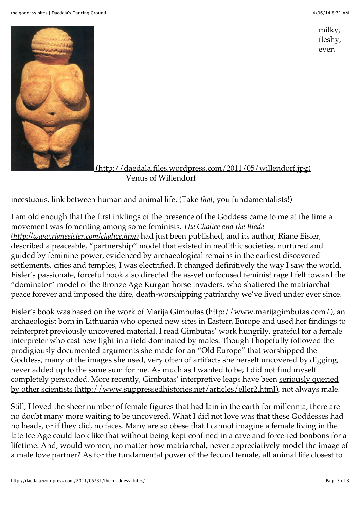milky, fleshy, even



(http://daedala.files.wordpress.com/2011/05/willendorf.jpg) Venus of Willendorf

incestuous, link between human and animal life. (Take *that*, you fundamentalists!)

I am old enough that the first inklings of the presence of the Goddess came to me at the time a [movement was fomenting among some feminists.](http://www.rianeeisler.com/chalice.htm) *The Chalice and the Blade (http://www.rianeeisler.com/chalice.htm)* had just been published, and its author, Riane Eisler, described a peaceable, "partnership" model that existed in neolithic societies, nurtured and guided by feminine power, evidenced by archaeological remains in the earliest discovered settlements, cities and temples, I was electrified. It changed definitively the way I saw the world. Eisler's passionate, forceful book also directed the as-yet unfocused feminist rage I felt toward the "dominator" model of the Bronze Age Kurgan horse invaders, who shattered the matriarchal peace forever and imposed the dire, death-worshipping patriarchy we've lived under ever since.

Eisler's book was based on the work of [Marija Gimbutas \(http://www.marijagimbutas.com/\),](http://www.marijagimbutas.com/) an archaeologist born in Lithuania who opened new sites in Eastern Europe and used her findings to reinterpret previously uncovered material. I read Gimbutas' work hungrily, grateful for a female interpreter who cast new light in a field dominated by males. Though I hopefully followed the prodigiously documented arguments she made for an "Old Europe" that worshipped the Goddess, many of the images she used, very often of artifacts she herself uncovered by digging, never added up to the same sum for me. As much as I wanted to be, I did not find myself completely persuaded. More recently, Gimbutas' interpretive leaps have been seriously queried [by other scientists \(http://www.suppressedhistories.net/articles/eller2.html\), not always male.](http://www.suppressedhistories.net/articles/eller2.html)

Still, I loved the sheer number of female figures that had lain in the earth for millennia; there are no doubt many more waiting to be uncovered. What I did not love was that these Goddesses had no heads, or if they did, no faces. Many are so obese that I cannot imagine a female living in the late Ice Age could look like that without being kept confined in a cave and force-fed bonbons for a lifetime. And, would women, no matter how matriarchal, never appreciatively model the image of a male love partner? As for the fundamental power of the fecund female, all animal life closest to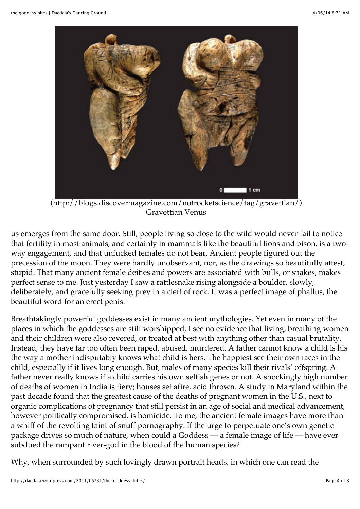

Gravettian Venus

us emerges from the same door. Still, people living so close to the wild would never fail to notice that fertility in most animals, and certainly in mammals like the beautiful lions and bison, is a twoway engagement, and that unfucked females do not bear. Ancient people figured out the precession of the moon. They were hardly unobservant, nor, as the drawings so beautifully attest, stupid. That many ancient female deities and powers are associated with bulls, or snakes, makes perfect sense to me. Just yesterday I saw a rattlesnake rising alongside a boulder, slowly, deliberately, and gracefully seeking prey in a cleft of rock. It was a perfect image of phallus, the beautiful word for an erect penis.

Breathtakingly powerful goddesses exist in many ancient mythologies. Yet even in many of the places in which the goddesses are still worshipped, I see no evidence that living, breathing women and their children were also revered, or treated at best with anything other than casual brutality. Instead, they have far too often been raped, abused, murdered. A father cannot know a child is his the way a mother indisputably knows what child is hers. The happiest see their own faces in the child, especially if it lives long enough. But, males of many species kill their rivals' offspring. A father never really knows if a child carries his own selfish genes or not. A shockingly high number of deaths of women in India is fiery; houses set afire, acid thrown. A study in Maryland within the past decade found that the greatest cause of the deaths of pregnant women in the U.S., next to organic complications of pregnancy that still persist in an age of social and medical advancement, however politically compromised, is homicide. To me, the ancient female images have more than a whiff of the revolting taint of snuff pornography. If the urge to perpetuate one's own genetic package drives so much of nature, when could a Goddess — a female image of life — have ever subdued the rampant river-god in the blood of the human species?

Why, when surrounded by such lovingly drawn portrait heads, in which one can read the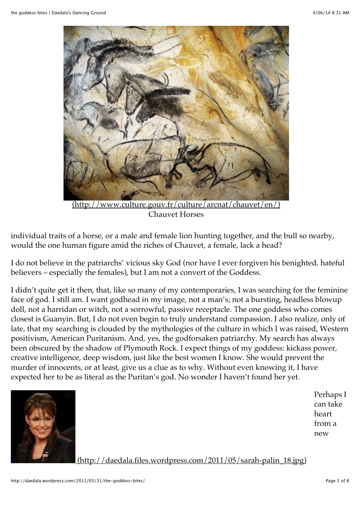

Chauvet Horses

individual traits of a horse, or a male and female lion hunting together, and the bull so nearby, would the one human figure amid the riches of Chauvet, a female, lack a head?

I do not believe in the patriarchs' vicious sky God (nor have I ever forgiven his benighted, hateful believers – especially the females), but I am not a convert of the Goddess.

I didn't quite get it then, that, like so many of my contemporaries, I was searching for the feminine face of god. I still am. I want godhead in my image, not a man's; not a bursting, headless blowup doll, not a harridan or witch, not a sorrowful, passive receptacle. The one goddess who comes closest is Guanyin. But, I do not even begin to truly understand compassion. I also realize, only of late, that my searching is clouded by the mythologies of the culture in which I was raised, Western positivism, American Puritanism. And, yes, the godforsaken patriarchy. My search has always been obscured by the shadow of Plymouth Rock. I expect things of my goddess: kickass power, creative intelligence, deep wisdom, just like the best women I know. She would prevent the murder of innocents, or at least, give us a clue as to why. Without even knowing it, I have expected her to be as literal as the Puritan's god. No wonder I haven't found her yet.



Perhaps I can take heart from a new

 [\(http://daedala.files.wordpress.com/2011/05/sarah-palin\\_18.jpg\)](http://daedala.files.wordpress.com/2011/05/sarah-palin_18.jpg)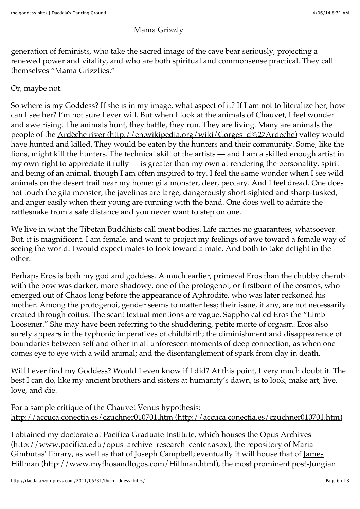#### Mama Grizzly

generation of feminists, who take the sacred image of the cave bear seriously, projecting a renewed power and vitality, and who are both spiritual and commonsense practical. They call themselves "Mama Grizzlies."

#### Or, maybe not.

So where is my Goddess? If she is in my image, what aspect of it? If I am not to literalize her, how can I see her? I'm not sure I ever will. But when I look at the animals of Chauvet, I feel wonder and awe rising. The animals hunt, they battle, they run. They are living. Many are animals the people of the [Ardèche river \(http://en.wikipedia.org/wiki/Gorges\\_d%27Ardeche\)](http://en.wikipedia.org/wiki/Gorges_d%27Ardeche) valley would have hunted and killed. They would be eaten by the hunters and their community. Some, like the lions, might kill the hunters. The technical skill of the artists — and I am a skilled enough artist in my own right to appreciate it fully — is greater than my own at rendering the personality, spirit and being of an animal, though I am often inspired to try. I feel the same wonder when I see wild animals on the desert trail near my home: gila monster, deer, peccary. And I feel dread. One does not touch the gila monster; the javelinas are large, dangerously short-sighted and sharp-tusked, and anger easily when their young are running with the band. One does well to admire the rattlesnake from a safe distance and you never want to step on one.

We live in what the Tibetan Buddhists call meat bodies. Life carries no guarantees, whatsoever. But, it is magnificent. I am female, and want to project my feelings of awe toward a female way of seeing the world. I would expect males to look toward a male. And both to take delight in the other.

Perhaps Eros is both my god and goddess. A much earlier, primeval Eros than the chubby cherub with the bow was darker, more shadowy, one of the protogenoi, or firstborn of the cosmos, who emerged out of Chaos long before the appearance of Aphrodite, who was later reckoned his mother. Among the protogenoi, gender seems to matter less; their issue, if any, are not necessarily created through coitus. The scant textual mentions are vague. Sappho called Eros the "Limb Loosener." She may have been referring to the shuddering, petite morte of orgasm. Eros also surely appears in the typhonic imperatives of childbirth; the diminishment and disappearence of boundaries between self and other in all unforeseen moments of deep connection, as when one comes eye to eye with a wild animal; and the disentanglement of spark from clay in death.

Will I ever find my Goddess? Would I even know if I did? At this point, I very much doubt it. The best I can do, like my ancient brothers and sisters at humanity's dawn, is to look, make art, live, love, and die.

For a sample critique of the Chauvet Venus hypothesis: [http://accuca.conectia.es/czuchner010701.htm \(http://accuca.conectia.es/czuchner010701.htm\)](http://accuca.conectia.es/czuchner010701.htm)

I obtained my doctorate at Pacifica Graduate Institute, which houses the Opus Archives [\(http://www.pacifica.edu/opus\\_archive\\_research\\_center.aspx\), the repository of Maria](http://www.pacifica.edu/opus_archive_research_center.aspx) Gimbutas' library, as well as that of Joseph Campbell; eventually it will house that of James [Hillman \(http://www.mythosandlogos.com/Hillman.html\), the most prominent post-Jung](http://www.mythosandlogos.com/Hillman.html)ian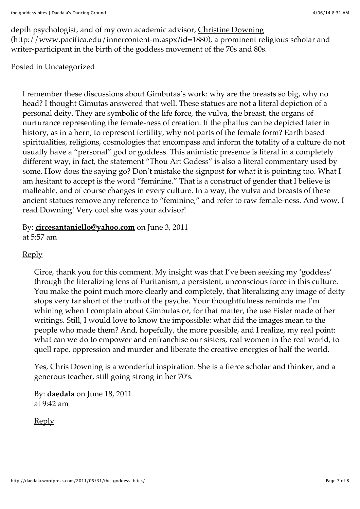[depth psychologist, and of my own academic advisor, Christine Downing](http://www.pacifica.edu/innercontent-m.aspx?id=1880) (http://www.pacifica.edu/innercontent-m.aspx?id=1880), a prominent religious scholar and writer-participant in the birth of the goddess movement of the 70s and 80s.

#### Posted in [Uncategorized](http://daedala.wordpress.com/category/uncategorized/)

I remember these discussions about Gimbutas's work: why are the breasts so big, why no head? I thought Gimutas answered that well. These statues are not a literal depiction of a personal deity. They are symbolic of the life force, the vulva, the breast, the organs of nurturance representing the female-ness of creation. If the phallus can be depicted later in history, as in a hern, to represent fertility, why not parts of the female form? Earth based spiritualities, religions, cosmologies that encompass and inform the totality of a culture do not usually have a "personal" god or goddess. This animistic presence is literal in a completely different way, in fact, the statement "Thou Art Godess" is also a literal commentary used by some. How does the saying go? Don't mistake the signpost for what it is pointing too. What I am hesitant to accept is the word "feminine." That is a construct of gender that I believe is malleable, and of course changes in every culture. In a way, the vulva and breasts of these ancient statues remove any reference to "feminine," and refer to raw female-ness. And wow, I read Downing! Very cool she was your advisor!

By: **[circesantaniello@yahoo.com](http://livemythically.blogspot.com/)** on June 3, 2011 at 5:57 am

#### [Reply](http://daedala.wordpress.com/2011/05/31/the-goddess-bites/?replytocom=92#respond)

Circe, thank you for this comment. My insight was that I've been seeking my 'goddess' through the literalizing lens of Puritanism, a persistent, unconscious force in this culture. You make the point much more clearly and completely, that literalizing any image of deity stops very far short of the truth of the psyche. Your thoughtfulness reminds me I'm whining when I complain about Gimbutas or, for that matter, the use Eisler made of her writings. Still, I would love to know the impossible: what did the images mean to the people who made them? And, hopefully, the more possible, and I realize, my real point: what can we do to empower and enfranchise our sisters, real women in the real world, to quell rape, oppression and murder and liberate the creative energies of half the world.

Yes, Chris Downing is a wonderful inspiration. She is a fierce scholar and thinker, and a generous teacher, still going strong in her 70's.

By: **daedala** on June 18, 2011 at 9:42 am

[Reply](http://daedala.wordpress.com/2011/05/31/the-goddess-bites/?replytocom=93#respond)